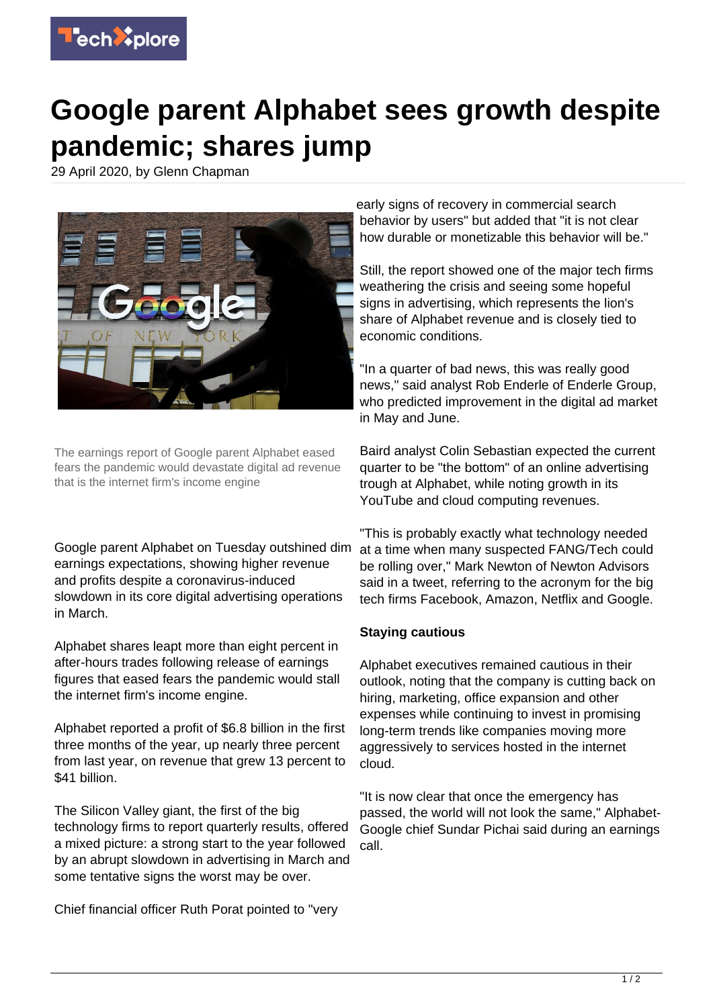

## **Google parent Alphabet sees growth despite pandemic; shares jump**

29 April 2020, by Glenn Chapman



The earnings report of Google parent Alphabet eased fears the pandemic would devastate digital ad revenue that is the internet firm's income engine

Google parent Alphabet on Tuesday outshined dim earnings expectations, showing higher revenue and profits despite a coronavirus-induced slowdown in its core digital advertising operations in March.

Alphabet shares leapt more than eight percent in after-hours trades following release of earnings figures that eased fears the pandemic would stall the internet firm's income engine.

Alphabet reported a profit of \$6.8 billion in the first three months of the year, up nearly three percent from last year, on revenue that grew 13 percent to \$41 billion.

The Silicon Valley giant, the first of the big technology firms to report quarterly results, offered a mixed picture: a strong start to the year followed by an abrupt slowdown in advertising in March and some tentative signs the worst may be over.

Chief financial officer Ruth Porat pointed to "very

early signs of recovery in commercial search behavior by users" but added that "it is not clear how durable or monetizable this behavior will be."

Still, the report showed one of the major tech firms weathering the crisis and seeing some hopeful signs in advertising, which represents the lion's share of Alphabet revenue and is closely tied to economic conditions.

"In a quarter of bad news, this was really good news," said analyst Rob Enderle of Enderle Group, who predicted improvement in the digital ad market in May and June.

Baird analyst Colin Sebastian expected the current quarter to be "the bottom" of an online advertising trough at Alphabet, while noting growth in its YouTube and cloud computing revenues.

"This is probably exactly what technology needed at a time when many suspected FANG/Tech could be rolling over," Mark Newton of Newton Advisors said in a tweet, referring to the acronym for the big tech firms Facebook, Amazon, Netflix and Google.

## **Staying cautious**

Alphabet executives remained cautious in their outlook, noting that the company is cutting back on hiring, marketing, office expansion and other expenses while continuing to invest in promising long-term trends like companies moving more aggressively to services hosted in the internet cloud.

"It is now clear that once the emergency has passed, the world will not look the same," Alphabet-Google chief Sundar Pichai said during an earnings call.